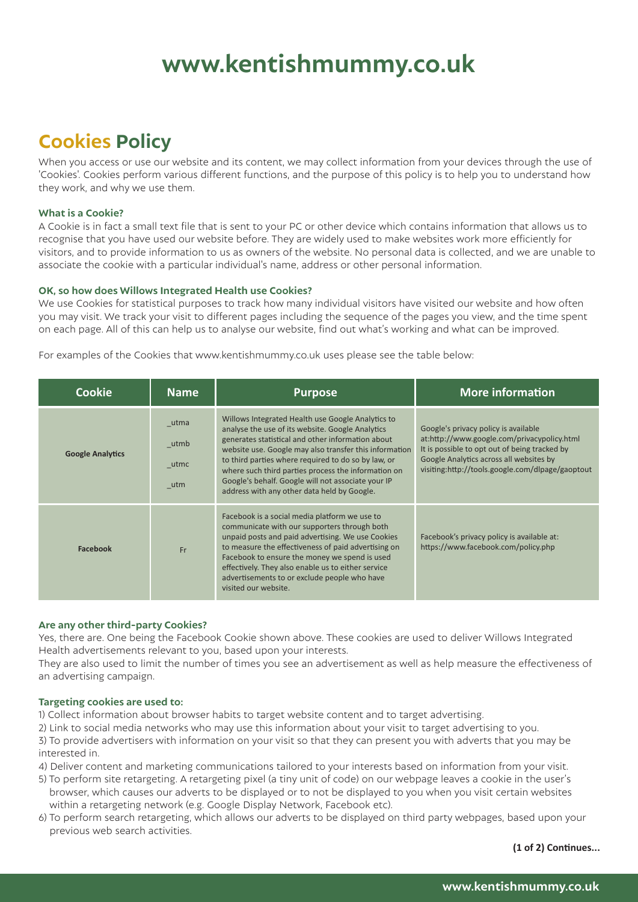## **www.kentishmummy.co.uk**

### **Cookies Policy**

When you access or use our website and its content, we may collect information from your devices through the use of 'Cookies'. Cookies perform various different functions, and the purpose of this policy is to help you to understand how they work, and why we use them.

### **What is a Cookie?**

A Cookie is in fact a small text file that is sent to your PC or other device which contains information that allows us to recognise that you have used our website before. They are widely used to make websites work more efficiently for visitors, and to provide information to us as owners of the website. No personal data is collected, and we are unable to associate the cookie with a particular individual's name, address or other personal information.

### **OK, so how does Willows Integrated Health use Cookies?**

We use Cookies for statistical purposes to track how many individual visitors have visited our website and how often you may visit. We track your visit to different pages including the sequence of the pages you view, and the time spent on each page. All of this can help us to analyse our website, find out what's working and what can be improved.

For examples of the Cookies that www.kentishmummy.co.uk uses please see the table below:

| Cookie                  | <b>Name</b>                 | <b>Purpose</b>                                                                                                                                                                                                                                                                                                                                                                                                                          | <b>More information</b>                                                                                                                                                                                                             |
|-------------------------|-----------------------------|-----------------------------------------------------------------------------------------------------------------------------------------------------------------------------------------------------------------------------------------------------------------------------------------------------------------------------------------------------------------------------------------------------------------------------------------|-------------------------------------------------------------------------------------------------------------------------------------------------------------------------------------------------------------------------------------|
| <b>Google Analytics</b> | utma<br>utmb<br>utmc<br>utm | Willows Integrated Health use Google Analytics to<br>analyse the use of its website. Google Analytics<br>generates statistical and other information about<br>website use. Google may also transfer this information<br>to third parties where required to do so by law, or<br>where such third parties process the information on<br>Google's behalf. Google will not associate your IP<br>address with any other data held by Google. | Google's privacy policy is available<br>at:http://www.google.com/privacypolicy.html<br>It is possible to opt out of being tracked by<br>Google Analytics across all websites by<br>visiting:http://tools.google.com/dlpage/gaoptout |
| <b>Facebook</b>         | Fr                          | Facebook is a social media platform we use to<br>communicate with our supporters through both<br>unpaid posts and paid advertising. We use Cookies<br>to measure the effectiveness of paid advertising on<br>Facebook to ensure the money we spend is used<br>effectively. They also enable us to either service<br>advertisements to or exclude people who have<br>visited our website.                                                | Facebook's privacy policy is available at:<br>https://www.facebook.com/policy.php                                                                                                                                                   |

### **Are any other third-party Cookies?**

Yes, there are. One being the Facebook Cookie shown above. These cookies are used to deliver Willows Integrated Health advertisements relevant to you, based upon your interests.

They are also used to limit the number of times you see an advertisement as well as help measure the effectiveness of an advertising campaign.

### **Targeting cookies are used to:**

1) Collect information about browser habits to target website content and to target advertising.

- 2) Link to social media networks who may use this information about your visit to target advertising to you.
- 3) To provide advertisers with information on your visit so that they can present you with adverts that you may be interested in.
- 4) Deliver content and marketing communications tailored to your interests based on information from your visit.
- 5) To perform site retargeting. A retargeting pixel (a tiny unit of code) on our webpage leaves a cookie in the user's browser, which causes our adverts to be displayed or to not be displayed to you when you visit certain websites within a retargeting network (e.g. Google Display Network, Facebook etc).
- 6) To perform search retargeting, which allows our adverts to be displayed on third party webpages, based upon your previous web search activities.

**(1 of 2) Continues...**